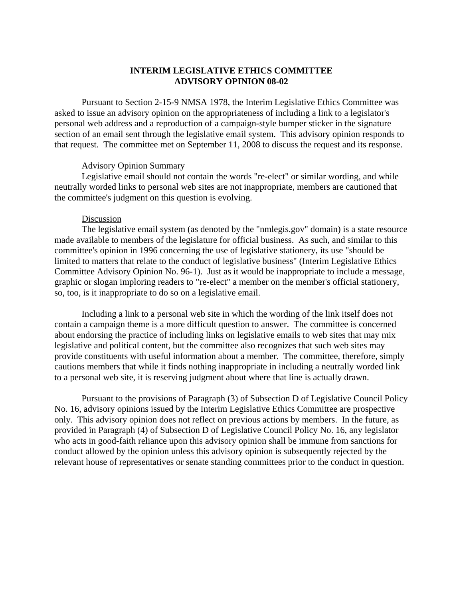## **INTERIM LEGISLATIVE ETHICS COMMITTEE ADVISORY OPINION 08-02**

Pursuant to Section 2-15-9 NMSA 1978, the Interim Legislative Ethics Committee was asked to issue an advisory opinion on the appropriateness of including a link to a legislator's personal web address and a reproduction of a campaign-style bumper sticker in the signature section of an email sent through the legislative email system. This advisory opinion responds to that request. The committee met on September 11, 2008 to discuss the request and its response.

## Advisory Opinion Summary

Legislative email should not contain the words "re-elect" or similar wording, and while neutrally worded links to personal web sites are not inappropriate, members are cautioned that the committee's judgment on this question is evolving.

## Discussion

The legislative email system (as denoted by the "nmlegis.gov" domain) is a state resource made available to members of the legislature for official business. As such, and similar to this committee's opinion in 1996 concerning the use of legislative stationery, its use "should be limited to matters that relate to the conduct of legislative business" (Interim Legislative Ethics Committee Advisory Opinion No. 96-1). Just as it would be inappropriate to include a message, graphic or slogan imploring readers to "re-elect" a member on the member's official stationery, so, too, is it inappropriate to do so on a legislative email.

Including a link to a personal web site in which the wording of the link itself does not contain a campaign theme is a more difficult question to answer. The committee is concerned about endorsing the practice of including links on legislative emails to web sites that may mix legislative and political content, but the committee also recognizes that such web sites may provide constituents with useful information about a member. The committee, therefore, simply cautions members that while it finds nothing inappropriate in including a neutrally worded link to a personal web site, it is reserving judgment about where that line is actually drawn.

Pursuant to the provisions of Paragraph (3) of Subsection D of Legislative Council Policy No. 16, advisory opinions issued by the Interim Legislative Ethics Committee are prospective only. This advisory opinion does not reflect on previous actions by members. In the future, as provided in Paragraph (4) of Subsection D of Legislative Council Policy No. 16, any legislator who acts in good-faith reliance upon this advisory opinion shall be immune from sanctions for conduct allowed by the opinion unless this advisory opinion is subsequently rejected by the relevant house of representatives or senate standing committees prior to the conduct in question.